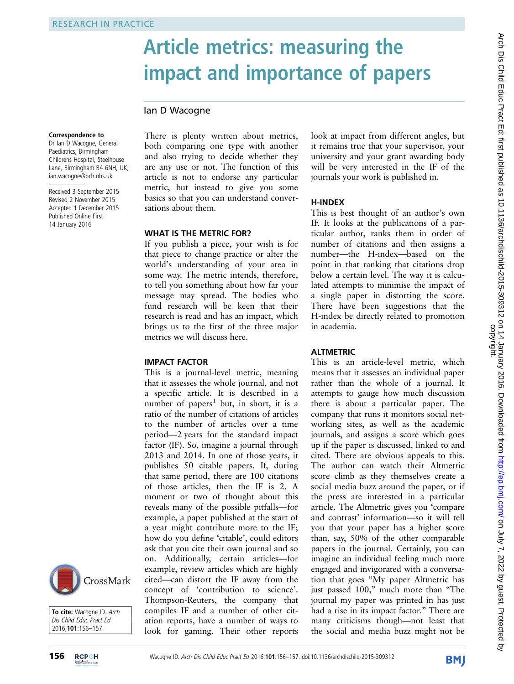# Article metrics: measuring the impact and importance of papers

### Ian D Wacogne

#### Correspondence to

Dr Ian D Wacogne, General Paediatrics, Birmingham Childrens Hospital, Steelhouse Lane, Birmingham B4 6NH, UK; ian.wacogne@bch.nhs.uk

Received 3 September 2015 Revised 2 November 2015 Accepted 1 December 2015 Published Online First 14 January 2016



#### WHAT IS THE METRIC FOR?

If you publish a piece, your wish is for that piece to change practice or alter the world's understanding of your area in some way. The metric intends, therefore, to tell you something about how far your message may spread. The bodies who fund research will be keen that their research is read and has an impact, which brings us to the first of the three major metrics we will discuss here.

#### IMPACT FACTOR

This is a journal-level metric, meaning that it assesses the whole journal, and not a specific article. It is described in a number of papers<sup>[1](#page-1-0)</sup> but, in short, it is a ratio of the number of citations of articles to the number of articles over a time period—2 years for the standard impact factor (IF). So, imagine a journal through 2013 and 2014. In one of those years, it publishes 50 citable papers. If, during that same period, there are 100 citations of those articles, then the IF is 2. A moment or two of thought about this reveals many of the possible pitfalls—for example, a paper published at the start of a year might contribute more to the IF; how do you define 'citable', could editors ask that you cite their own journal and so on. Additionally, certain articles—for example, review articles which are highly cited—can distort the IF away from the concept of 'contribution to science'. Thompson-Reuters, the company that compiles IF and a number of other citation reports, have a number of ways to look for gaming. Their other reports

look at impact from different angles, but it remains true that your supervisor, your university and your grant awarding body will be very interested in the IF of the journals your work is published in.

#### H-INDEX

This is best thought of an author's own IF. It looks at the publications of a particular author, ranks them in order of number of citations and then assigns a number—the H-index—based on the point in that ranking that citations drop below a certain level. The way it is calculated attempts to minimise the impact of a single paper in distorting the score. There have been suggestions that the H-index be directly related to promotion in academia.

#### **ALTMETRIC**

This is an article-level metric, which means that it assesses an individual paper rather than the whole of a journal. It attempts to gauge how much discussion there is about a particular paper. The company that runs it monitors social networking sites, as well as the academic journals, and assigns a score which goes up if the paper is discussed, linked to and cited. There are obvious appeals to this. The author can watch their Altmetric score climb as they themselves create a social media buzz around the paper, or if the press are interested in a particular article. The Altmetric gives you 'compare and contrast' information—so it will tell you that your paper has a higher score than, say, 50% of the other comparable papers in the journal. Certainly, you can imagine an individual feeling much more engaged and invigorated with a conversation that goes "My paper Altmetric has just passed 100," much more than "The journal my paper was printed in has just had a rise in its impact factor." There are many criticisms though—not least that the social and media buzz might not be

To cite: Wacogne ID. Arch Dis Child Educ Pract Ed 2016;101:156–157.

CrossMark